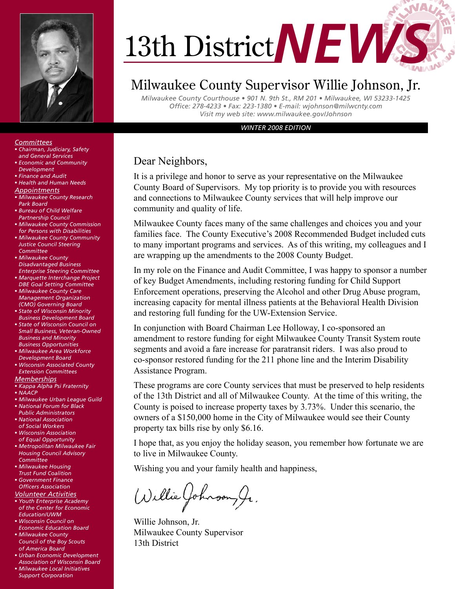

#### Milwaukee County Supervisor Willie Johnson, Jr.

*Milwaukee County Courthouse • 901 N. 9th St., RM 201 • Milwaukee, WI 53233-1425 Office: 278-4233 • Fax: 223-1380 • E-mail: wjohnson@milwcnty.com Visit my web site: www.milwaukee.gov/Johnson*

*WINTER 2008 EDITION*

#### Dear Neighbors,

It is a privilege and honor to serve as your representative on the Milwaukee County Board of Supervisors. My top priority is to provide you with resources and connections to Milwaukee County services that will help improve our community and quality of life.

Milwaukee County faces many of the same challenges and choices you and your families face. The County Executive's 2008 Recommended Budget included cuts to many important programs and services. As of this writing, my colleagues and I are wrapping up the amendments to the 2008 County Budget.

In my role on the Finance and Audit Committee, I was happy to sponsor a number of key Budget Amendments, including restoring funding for Child Support Enforcement operations, preserving the Alcohol and other Drug Abuse program, increasing capacity for mental illness patients at the Behavioral Health Division and restoring full funding for the UW-Extension Service.

In conjunction with Board Chairman Lee Holloway, I co-sponsored an amendment to restore funding for eight Milwaukee County Transit System route segments and avoid a fare increase for paratransit riders. I was also proud to co-sponsor restored funding for the 211 phone line and the Interim Disability Assistance Program.

These programs are core County services that must be preserved to help residents of the 13th District and all of Milwaukee County. At the time of this writing, the County is poised to increase property taxes by 3.73%. Under this scenario, the owners of a \$150,000 home in the City of Milwaukee would see their County property tax bills rise by only \$6.16.

I hope that, as you enjoy the holiday season, you remember how fortunate we are to live in Milwaukee County.

Wishing you and your family health and happiness,

Willie Johnson, Jr.

Willie Johnson, Jr. Milwaukee County Supervisor 13th District

#### *Committees*

- *Chairman, Judiciary, Safety and General Services*
- *Economic and Community Development*
- *Finance and Audit Health and Human Needs*
- *Appointments*
- *Milwaukee County Research Park Board*
- *Bureau of Child Welfare Partnership Council*
- *Milwaukee County Commission for Persons with Disabilities*
- *Milwaukee County Community Justice Council Steering Committee*
- *Milwaukee County Disadvantaged Business Enterprise Steering Committee*
- *Marquette Interchange Project DBE Goal Setting Committee*
- *Milwaukee County Care Management Organization (CMO) Governing Board*
- *State of Wisconsin Minority Business Development Board*
- *State of Wisconsin Council on Small Business, Veteran-Owned Business and Minority Business Opportunities*
- *Milwaukee Area Workforce Development Board*
- *Wisconsin Associated County Extension Committees*
- *Memberships*
- *Kappa Alpha Psi Fraternity NAACP*
- *Milwaukee Urban League Guild*
- *National Forum for Black*
- *Public Administrators National Association of Social Workers*
- *Wisconsin Association of Equal Opportunity*
- *Metropolitan Milwaukee Fair Housing Council Advisory Committee*
- *Milwaukee Housing Trust Fund Coalition*
- *Government Finance Officers Association*

*Volunteer Activities*

- *Youth Enterprise Academy of the Center for Economic Education/UWM*
- *Wisconsin Council on Economic Education Board Milwaukee County*
- *Council of the Boy Scouts of America Board*
- *Urban Economic Development Association of Wisconsin Board*
- *Milwaukee Local Initiatives Support Corporation*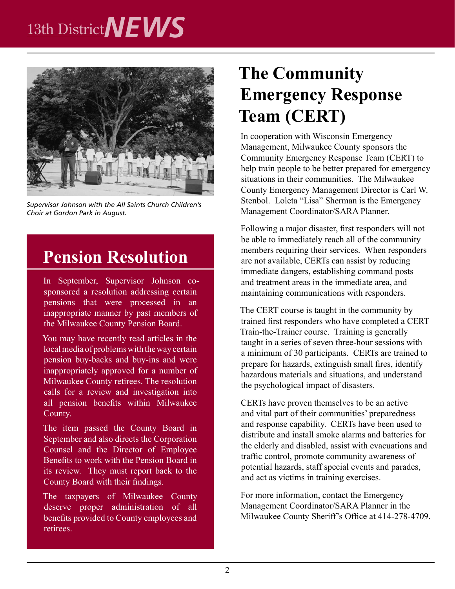

*Supervisor Johnson with the All Saints Church Children's Choir at Gordon Park in August.*

#### **Pension Resolution**

In September, Supervisor Johnson cosponsored a resolution addressing certain pensions that were processed in an inappropriate manner by past members of the Milwaukee County Pension Board.

You may have recently read articles in the local media of problems with the way certain pension buy-backs and buy-ins and were inappropriately approved for a number of Milwaukee County retirees. The resolution calls for a review and investigation into all pension benefits within Milwaukee County.

The item passed the County Board in September and also directs the Corporation Counsel and the Director of Employee Benefits to work with the Pension Board in its review. They must report back to the County Board with their findings.

The taxpayers of Milwaukee County deserve proper administration of all benefits provided to County employees and retirees.

### **The Community Emergency Response Team (CERT)**

In cooperation with Wisconsin Emergency Management, Milwaukee County sponsors the Community Emergency Response Team (CERT) to help train people to be better prepared for emergency situations in their communities. The Milwaukee County Emergency Management Director is Carl W. Stenbol. Loleta "Lisa" Sherman is the Emergency Management Coordinator/SARA Planner.

Following a major disaster, first responders will not be able to immediately reach all of the community members requiring their services. When responders are not available, CERTs can assist by reducing immediate dangers, establishing command posts and treatment areas in the immediate area, and maintaining communications with responders.

The CERT course is taught in the community by trained first responders who have completed a CERT Train-the-Trainer course. Training is generally taught in a series of seven three-hour sessions with a minimum of 30 participants. CERTs are trained to prepare for hazards, extinguish small fires, identify hazardous materials and situations, and understand the psychological impact of disasters.

CERTs have proven themselves to be an active and vital part of their communities' preparedness and response capability. CERTs have been used to distribute and install smoke alarms and batteries for the elderly and disabled, assist with evacuations and traffic control, promote community awareness of potential hazards, staff special events and parades, and act as victims in training exercises.

For more information, contact the Emergency Management Coordinator/SARA Planner in the Milwaukee County Sheriff's Office at 414-278-4709.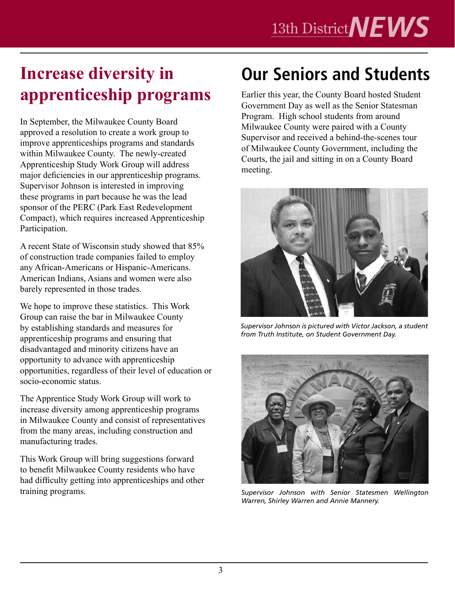#### **Increase diversity in apprenticeship programs**

In September, the Milwaukee County Board approved a resolution to create a work group to improve apprenticeships programs and standards within Milwaukee County. The newly-created Apprenticeship Study Work Group will address major deficiencies in our apprenticeship programs. Supervisor Johnson is interested in improving these programs in part because he was the lead sponsor of the PERC (Park East Redevelopment Compact), which requires increased Apprenticeship Participation.

A recent State of Wisconsin study showed that 85% of construction trade companies failed to employ any African-Americans or Hispanic-Americans. American Indians, Asians and women were also barely represented in those trades.

We hope to improve these statistics. This Work Group can raise the bar in Milwaukee County by establishing standards and measures for apprenticeship programs and ensuring that disadvantaged and minority citizens have an opportunity to advance with apprenticeship opportunities, regardless of their level of education or socio-economic status.

The Apprentice Study Work Group will work to increase diversity among apprenticeship programs in Milwaukee County and consist of representatives from the many areas, including construction and manufacturing trades.

This Work Group will bring suggestions forward to benefit Milwaukee County residents who have had difficulty getting into apprenticeships and other training programs.

## **Our Seniors and Students**

Earlier this year, the County Board hosted Student Government Day as well as the Senior Statesman Program. High school students from around Milwaukee County were paired with a County Supervisor and received a behind-the-scenes tour of Milwaukee County Government, including the Courts, the jail and sitting in on a County Board meeting.



*Supervisor Johnson is pictured with Victor Jackson, a student from Truth Institute, on Student Government Day.*



*Supervisor Johnson with Senior Statesmen Wellington Warren, Shirley Warren and Annie Mannery.*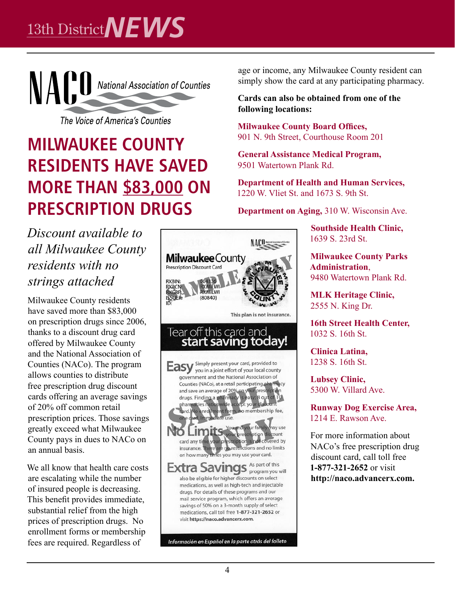

The Voice of America's Counties

## **MILWAUKEE COUNTY RESIDENTS HAVE SAVED MORE THAN \$83,000 ON PRESCRIPTION DRUGS**

#### *Discount available to all Milwaukee County residents with no strings attached*

Milwaukee County residents have saved more than \$83,000 on prescription drugs since 2006, thanks to a discount drug card offered by Milwaukee County and the National Association of Counties (NACo). The program allows counties to distribute free prescription drug discount cards offering an average savings of 20% off common retail prescription prices. Those savings greatly exceed what Milwaukee County pays in dues to NACo on an annual basis.

We all know that health care costs are escalating while the number of insured people is decreasing. This benefit provides immediate, substantial relief from the high prices of prescription drugs. No enrollment forms or membership fees are required. Regardless of

age or income, any Milwaukee County resident can simply show the card at any participating pharmacy.

**Cards can also be obtained from one of the following locations:**

**Milwaukee County Board Offices,**  901 N. 9th Street, Courthouse Room 201

**General Assistance Medical Program,**  9501 Watertown Plank Rd.

**Department of Health and Human Services,**  1220 W. Vliet St. and 1673 S. 9th St.

**Department on Aging,** 310 W. Wisconsin Ave.

**Southside Health Clinic,**  1639 S. 23rd St.

**Milwaukee County Parks Administration**, 9480 Watertown Plank Rd.

**MLK Heritage Clinic,**  2555 N. King Dr.

**16th Street Health Center,**  1032 S. 16th St.

**Clinica Latina,**  1238 S. 16th St.

**Lubsey Clinic,**  5300 W. Villard Ave.

**Runway Dog Exercise Area,**  1214 E. Rawson Ave.

For more information about NACo's free prescription drug discount card, call toll free **1-877-321-2652** or visit **http://naco.advancerx.com.**

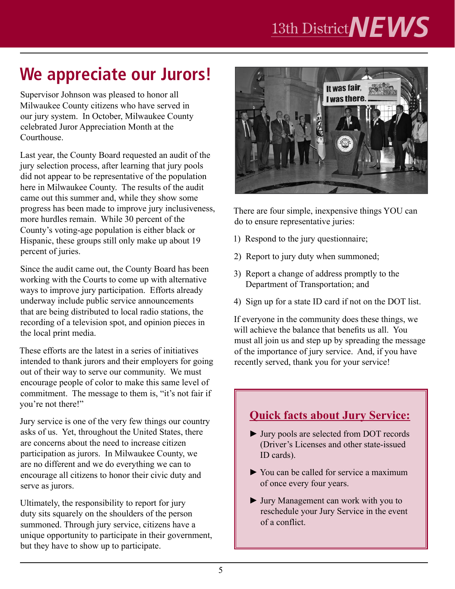#### **We appreciate our Jurors!**

Supervisor Johnson was pleased to honor all Milwaukee County citizens who have served in our jury system. In October, Milwaukee County celebrated Juror Appreciation Month at the **Courthouse** 

Last year, the County Board requested an audit of the jury selection process, after learning that jury pools did not appear to be representative of the population here in Milwaukee County. The results of the audit came out this summer and, while they show some progress has been made to improve jury inclusiveness, more hurdles remain. While 30 percent of the County's voting-age population is either black or Hispanic, these groups still only make up about 19 percent of juries.

Since the audit came out, the County Board has been working with the Courts to come up with alternative ways to improve jury participation. Efforts already underway include public service announcements that are being distributed to local radio stations, the recording of a television spot, and opinion pieces in the local print media.

These efforts are the latest in a series of initiatives intended to thank jurors and their employers for going out of their way to serve our community. We must encourage people of color to make this same level of commitment. The message to them is, "it's not fair if you're not there!"

Jury service is one of the very few things our country asks of us. Yet, throughout the United States, there are concerns about the need to increase citizen participation as jurors. In Milwaukee County, we are no different and we do everything we can to encourage all citizens to honor their civic duty and serve as jurors.

Ultimately, the responsibility to report for jury duty sits squarely on the shoulders of the person summoned. Through jury service, citizens have a unique opportunity to participate in their government, but they have to show up to participate.



There are four simple, inexpensive things YOU can do to ensure representative juries:

- 1) Respond to the jury questionnaire;
- 2) Report to jury duty when summoned;
- 3) Report a change of address promptly to the Department of Transportation; and
- 4) Sign up for a state ID card if not on the DOT list.

If everyone in the community does these things, we will achieve the balance that benefits us all. You must all join us and step up by spreading the message of the importance of jury service. And, if you have recently served, thank you for your service!

#### **Quick facts about Jury Service:**

- ► Jury pools are selected from DOT records (Driver's Licenses and other state-issued ID cards).
- ► You can be called for service a maximum of once every four years.
- ► Jury Management can work with you to reschedule your Jury Service in the event of a conflict.